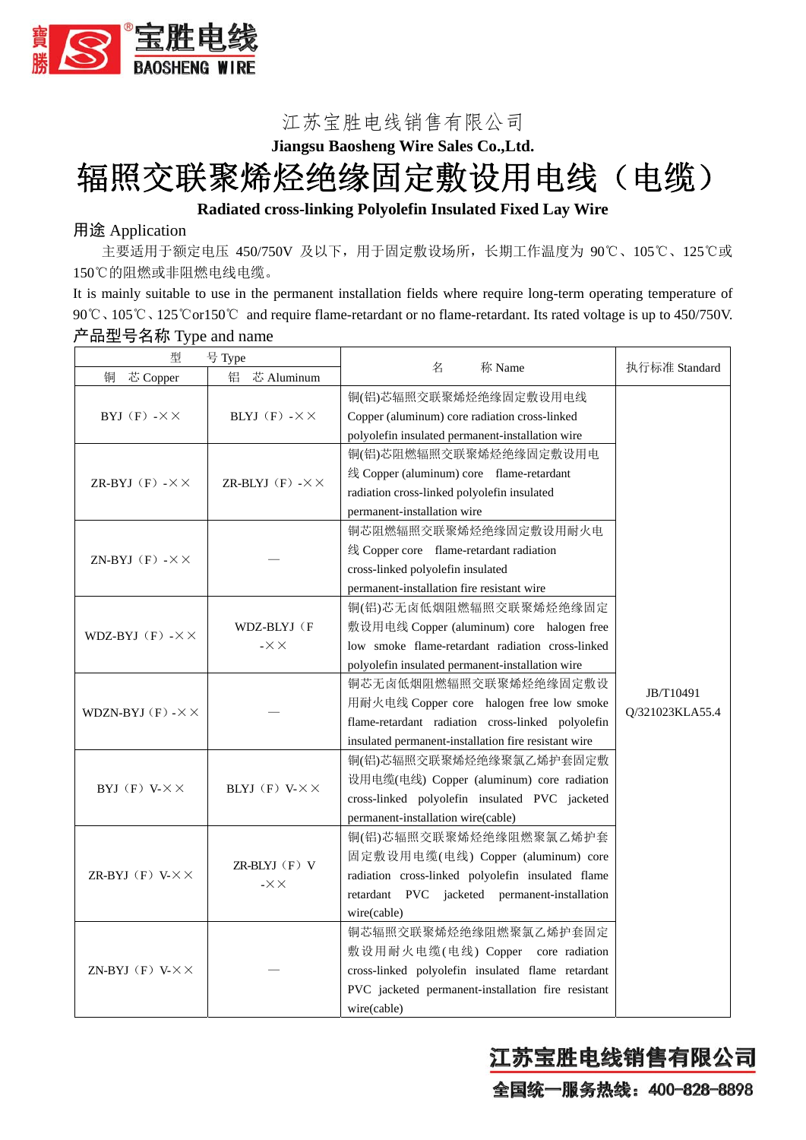

# 江苏宝胜电线销售有限公司 **Jiangsu Baosheng Wire Sales Co.,Ltd.**  辐照交联聚烯烃绝缘固定敷设用电线(电缆)

## **Radiated cross-linking Polyolefin Insulated Fixed Lay Wire**

## 用途 Application

主要适用于额定电压 450/750V 及以下,用于固定敷设场所,长期工作温度为 90℃、105℃、125℃或 150℃的阻燃或非阻燃电线电缆。

It is mainly suitable to use in the permanent installation fields where require long-term operating temperature of 90℃、105℃、125℃or150℃ and require flame-retardant or no flame-retardant. Its rated voltage is up to 450/750V. 产品型号名称 Type and name

| 型<br>号 Type                        |                                        |                                                      |                              |  |
|------------------------------------|----------------------------------------|------------------------------------------------------|------------------------------|--|
| 铜<br>芯 Copper                      | 铝<br>芯 Aluminum                        | 名<br>称 Name                                          | 执行标准 Standard                |  |
|                                    | BLYJ $(F)$ - $\times$ $\times$         | 铜(铝)芯辐照交联聚烯烃绝缘固定敷设用电线                                |                              |  |
| BYJ $(F)$ - $\times$ $\times$      |                                        | Copper (aluminum) core radiation cross-linked        |                              |  |
|                                    |                                        | polyolefin insulated permanent-installation wire     |                              |  |
|                                    | ZR-BLYJ $(F)$ - $\times$ $\times$      | 铜(铝)芯阻燃辐照交联聚烯烃绝缘固定敷设用电                               |                              |  |
| ZR-BYJ $(F)$ - $\times$ $\times$   |                                        | 线 Copper (aluminum) core flame-retardant             |                              |  |
|                                    |                                        | radiation cross-linked polyolefin insulated          |                              |  |
|                                    |                                        | permanent-installation wire                          |                              |  |
| ZN-BYJ $(F)$ - $\times$ $\times$   |                                        | 铜芯阻燃辐照交联聚烯烃绝缘固定敷设用耐火电                                |                              |  |
|                                    |                                        | 线 Copper core flame-retardant radiation              |                              |  |
|                                    |                                        | cross-linked polyolefin insulated                    |                              |  |
|                                    |                                        | permanent-installation fire resistant wire           |                              |  |
|                                    | WDZ-BLYJ (F<br>$- \times \times$       | 铜(铝)芯无卤低烟阻燃辐照交联聚烯烃绝缘固定                               | JB/T10491<br>Q/321023KLA55.4 |  |
| WDZ-BYJ $(F)$ - $\times$ $\times$  |                                        | 敷设用电线 Copper (aluminum) core halogen free            |                              |  |
|                                    |                                        | low smoke flame-retardant radiation cross-linked     |                              |  |
|                                    |                                        | polyolefin insulated permanent-installation wire     |                              |  |
|                                    |                                        | 铜芯无卤低烟阻燃辐照交联聚烯烃绝缘固定敷设                                |                              |  |
|                                    |                                        | 用耐火电线 Copper core halogen free low smoke             |                              |  |
| WDZN-BYJ $(F)$ - $\times$ $\times$ |                                        | flame-retardant radiation cross-linked polyolefin    |                              |  |
|                                    |                                        | insulated permanent-installation fire resistant wire |                              |  |
|                                    | BLYJ $(F)$ V- $\times$ $\times$        | 铜(铝)芯辐照交联聚烯烃绝缘聚氯乙烯护套固定敷                              |                              |  |
|                                    |                                        | 设用电缆(电线) Copper (aluminum) core radiation            |                              |  |
| BYJ $(F)$ V- $\times$ $\times$     |                                        | cross-linked polyolefin insulated PVC jacketed       |                              |  |
|                                    |                                        | permanent-installation wire(cable)                   |                              |  |
| ZR-BYJ $(F)$ V- $\times$ $\times$  | $ZR-BLYJ$ $(F)$ V<br>$- \times \times$ | 铜(铝)芯辐照交联聚烯烃绝缘阻燃聚氯乙烯护套                               |                              |  |
|                                    |                                        | 固定敷设用电缆(电线) Copper (aluminum) core                   |                              |  |
|                                    |                                        | radiation cross-linked polyolefin insulated flame    |                              |  |
|                                    |                                        | retardant PVC jacketed permanent-installation        |                              |  |
|                                    |                                        | wire(cable)                                          |                              |  |
| ZN-BYJ $(F)$ V- $\times$ $\times$  |                                        | 铜芯辐照交联聚烯烃绝缘阻燃聚氯乙烯护套固定                                |                              |  |
|                                    |                                        | 敷设用耐火电缆(电线) Copper core radiation                    |                              |  |
|                                    |                                        | cross-linked polyolefin insulated flame retardant    |                              |  |
|                                    |                                        | PVC jacketed permanent-installation fire resistant   |                              |  |
|                                    |                                        | wire(cable)                                          |                              |  |

江苏宝胜电线销售有限公司

全国统一服务热线: 400-828-8898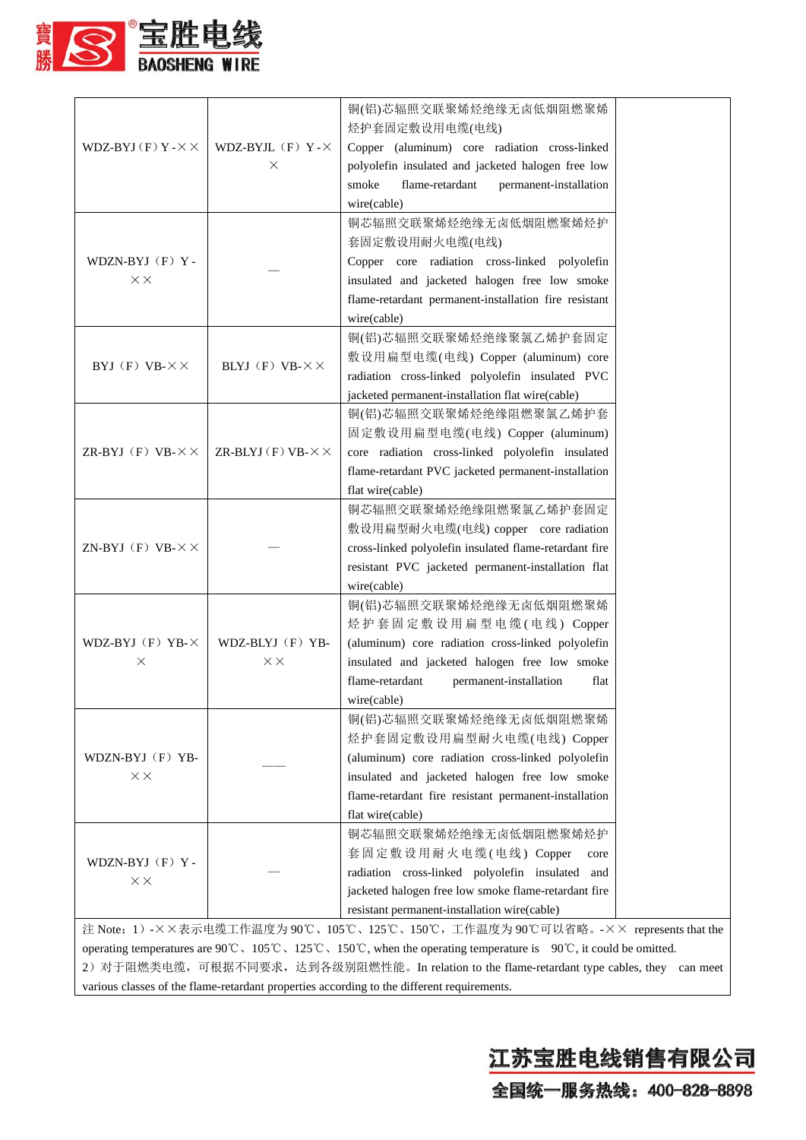

| WDZ-BYJ $(F)$ Y - $\times$ $\times$                                                                                                                                                                                                                                                                                                                                                                | WDZ-BYJL $(F)$ Y - $\times$<br>X    | 铜(铝)芯辐照交联聚烯烃绝缘无卤低烟阻燃聚烯<br>烃护套固定敷设用电缆(电线)<br>Copper (aluminum) core radiation cross-linked<br>polyolefin insulated and jacketed halogen free low<br>smoke<br>flame-retardant<br>permanent-installation<br>wire(cable)                   |  |  |  |
|----------------------------------------------------------------------------------------------------------------------------------------------------------------------------------------------------------------------------------------------------------------------------------------------------------------------------------------------------------------------------------------------------|-------------------------------------|----------------------------------------------------------------------------------------------------------------------------------------------------------------------------------------------------------------------------------------|--|--|--|
| WDZN-BYJ (F) Y-<br>$\times\times$                                                                                                                                                                                                                                                                                                                                                                  |                                     | 铜芯辐照交联聚烯烃绝缘无卤低烟阻燃聚烯烃护<br>套固定敷设用耐火电缆(电线)<br>Copper core radiation cross-linked polyolefin<br>insulated and jacketed halogen free low smoke<br>flame-retardant permanent-installation fire resistant<br>wire(cable)                      |  |  |  |
| BYJ $(F)$ VB- $\times\times$                                                                                                                                                                                                                                                                                                                                                                       | BLYJ $(F)$ VB- $\times$ $\times$    | 铜(铝)芯辐照交联聚烯烃绝缘聚氯乙烯护套固定<br>敷设用扁型电缆(电线) Copper (aluminum) core<br>radiation cross-linked polyolefin insulated PVC<br>jacketed permanent-installation flat wire(cable)                                                                    |  |  |  |
| ZR-BYJ $(F)$ VB- $\times$ $\times$                                                                                                                                                                                                                                                                                                                                                                 | ZR-BLYJ $(F)$ VB- $\times$ $\times$ | 铜(铝)芯辐照交联聚烯烃绝缘阻燃聚氯乙烯护套<br>固定敷设用扁型电缆(电线) Copper (aluminum)<br>core radiation cross-linked polyolefin insulated<br>flame-retardant PVC jacketed permanent-installation<br>flat wire(cable)                                               |  |  |  |
| ZN-BYJ $(F)$ VB- $\times$ $\times$                                                                                                                                                                                                                                                                                                                                                                 |                                     | 铜芯辐照交联聚烯烃绝缘阻燃聚氯乙烯护套固定<br>敷设用扁型耐火电缆(电线) copper core radiation<br>cross-linked polyolefin insulated flame-retardant fire<br>resistant PVC jacketed permanent-installation flat<br>wire(cable)                                            |  |  |  |
| WDZ-BYJ $(F)$ YB- $\times$<br>X                                                                                                                                                                                                                                                                                                                                                                    | WDZ-BLYJ (F) YB-<br>$\times\times$  | 铜(铝)芯辐照交联聚烯烃绝缘无卤低烟阻燃聚烯<br>烃护套固定敷设用扁型电缆(电线) Copper<br>(aluminum) core radiation cross-linked polyolefin<br>insulated and jacketed halogen free low smoke<br>flame-retardant<br>permanent-installation<br>flat<br>wire(cable)            |  |  |  |
| WDZN-BYJ (F) YB-<br>$\times\times$                                                                                                                                                                                                                                                                                                                                                                 |                                     | 铜(铝)芯辐照交联聚烯烃绝缘无卤低烟阻燃聚烯<br>烃护套固定敷设用扁型耐火电缆(电线) Copper<br>(aluminum) core radiation cross-linked polyolefin<br>insulated and jacketed halogen free low smoke<br>flame-retardant fire resistant permanent-installation<br>flat wire(cable) |  |  |  |
| WDZN-BYJ (F) Y-<br>$\times\times$                                                                                                                                                                                                                                                                                                                                                                  |                                     | 铜芯辐照交联聚烯烃绝缘无卤低烟阻燃聚烯烃护<br>套固定敷设用耐火电缆(电线) Copper<br>core<br>radiation cross-linked polyolefin insulated<br>and<br>jacketed halogen free low smoke flame-retardant fire<br>resistant permanent-installation wire(cable)                   |  |  |  |
| 注 Note: 1) -××表示电缆工作温度为 90℃、105℃、125℃、150℃,工作温度为 90℃可以省略。-×× represents that the<br>operating temperatures are 90°C, 105°C, 125°C, 150°C, when the operating temperature is 90°C, it could be omitted.<br>2) 对于阻燃类电缆,可根据不同要求,达到各级别阻燃性能。In relation to the flame-retardant type cables, they can meet<br>various classes of the flame-retardant properties according to the different requirements. |                                     |                                                                                                                                                                                                                                        |  |  |  |